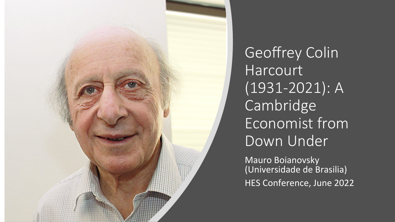

Geoffrey Colin **Harcourt** (1931-2021): A Cambridge Economist from Down Under

**Mauro Boianovsky** (Universidade de Brasilia) HES Conference, June 2022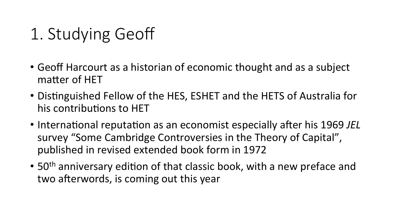# 1. Studying Geoff

- Geoff Harcourt as a historian of economic thought and as a subject matter of HET
- Distinguished Fellow of the HES, ESHET and the HETS of Australia for his contributions to HET
- International reputation as an economist especially after his 1969 JEL survey "Some Cambridge Controversies in the Theory of Capital", published in revised extended book form in 1972
- 50<sup>th</sup> anniversary edition of that classic book, with a new preface and two afterwords, is coming out this year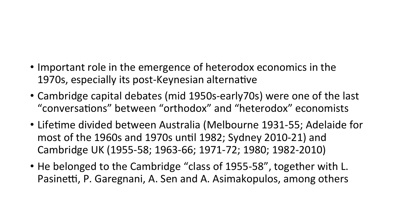### • Important role in the emergence of heterodox economics in the 1970s, especially its post-Keynesian alternative

- Cambridge capital debates (mid 1950s-early70s) were one of the last "conversations" between "orthodox" and "heterodox" economists
- Lifetime divided between Australia (Melbourne 1931-55; Adelaide for most of the 1960s and 1970s until 1982; Sydney 2010-21) and Cambridge UK (1955-58; 1963-66; 1971-72; 1980; 1982-2010)
- He belonged to the Cambridge "class of 1955-58", together with L. Pasinetti, P. Garegnani, A. Sen and A. Asimakopulos, among others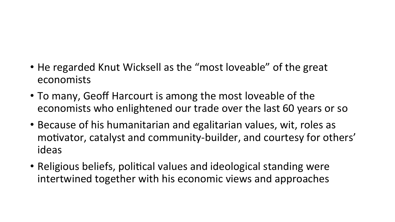### • He regarded Knut Wicksell as the "most loveable" of the great economists

- To many, Geoff Harcourt is among the most loveable of the economists who enlightened our trade over the last 60 years or so
- Because of his humanitarian and egalitarian values, wit, roles as motivator, catalyst and community-builder, and courtesy for others' ideas
- Religious beliefs, political values and ideological standing were intertwined together with his economic views and approaches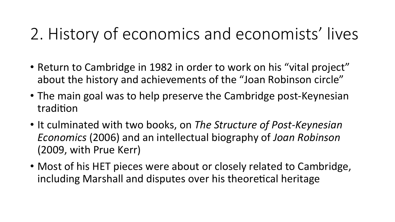# 2. History of economics and economists' lives

- Return to Cambridge in 1982 in order to work on his "vital project" about the history and achievements of the "Joan Robinson circle"
- The main goal was to help preserve the Cambridge post-Keynesian tradition
- It culminated with two books, on *The Structure of Post-Keynesian Economics* (2006) and an intellectual biography of *Joan Robinson* (2009, with Prue Kerr)
- Most of his HET pieces were about or closely related to Cambridge, including Marshall and disputes over his theoretical heritage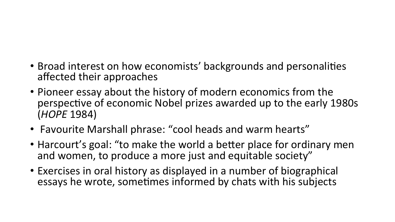#### • Broad interest on how economists' backgrounds and personalities affected their approaches

- Pioneer essay about the history of modern economics from the perspective of economic Nobel prizes awarded up to the early 1980s (*HOPE* 1984)
- Favourite Marshall phrase: "cool heads and warm hearts"
- Harcourt's goal: "to make the world a better place for ordinary men and women, to produce a more just and equitable society"
- Exercises in oral history as displayed in a number of biographical essays he wrote, sometimes informed by chats with his subjects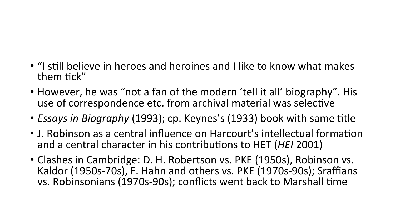- "I still believe in heroes and heroines and I like to know what makes them tick"
- However, he was "not a fan of the modern 'tell it all' biography". His use of correspondence etc. from archival material was selective
- *Essays in Biography* (1993); cp. Keynes's (1933) book with same title
- J. Robinson as a central influence on Harcourt's intellectual formation and a central character in his contributions to HET (*HEI* 2001)
- Clashes in Cambridge: D. H. Robertson vs. PKE (1950s), Robinson vs. Kaldor (1950s-70s), F. Hahn and others vs. PKE (1970s-90s); Sraffians vs. Robinsonians (1970s-90s); conflicts went back to Marshall time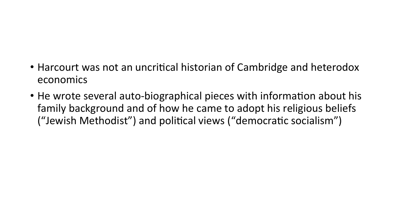### • Harcourt was not an uncritical historian of Cambridge and heterodox economics

• He wrote several auto-biographical pieces with information about his family background and of how he came to adopt his religious beliefs ("Jewish Methodist") and political views ("democratic socialism")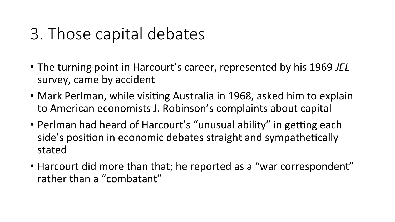# 3. Those capital debates

- The turning point in Harcourt's career, represented by his 1969 *JEL* survey, came by accident
- Mark Perlman, while visiting Australia in 1968, asked him to explain to American economists J. Robinson's complaints about capital
- Perlman had heard of Harcourt's "unusual ability" in getting each side's position in economic debates straight and sympathetically stated
- Harcourt did more than that; he reported as a "war correspondent" rather than a "combatant"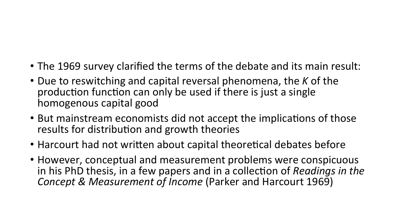- The 1969 survey clarified the terms of the debate and its main result:
- Due to reswitching and capital reversal phenomena, the K of the production function can only be used if there is just a single homogenous capital good
- But mainstream economists did not accept the implications of those results for distribution and growth theories
- Harcourt had not written about capital theoretical debates before
- However, conceptual and measurement problems were conspicuous in his PhD thesis, in a few papers and in a collection of *Readings in the Concept & Measurement of Income* (Parker and Harcourt 1969)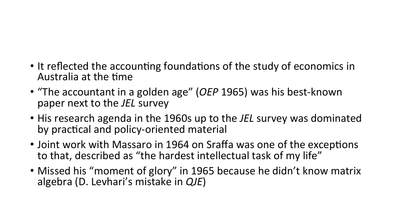- It reflected the accounting foundations of the study of economics in Australia at the time
- "The accountant in a golden age" (OEP 1965) was his best-known paper next to the *JEL* survey
- His research agenda in the 1960s up to the *JEL* survey was dominated by practical and policy-oriented material
- Joint work with Massaro in 1964 on Sraffa was one of the exceptions to that, described as "the hardest intellectual task of my life"
- Missed his "moment of glory" in 1965 because he didn't know matrix algebra (D. Levhari's mistake in *QJE*)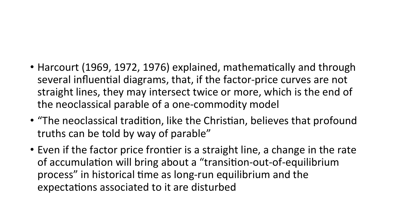- Harcourt (1969, 1972, 1976) explained, mathematically and through several influential diagrams, that, if the factor-price curves are not straight lines, they may intersect twice or more, which is the end of the neoclassical parable of a one-commodity model
- "The neoclassical tradition, like the Christian, believes that profound truths can be told by way of parable"
- Even if the factor price frontier is a straight line, a change in the rate of accumulation will bring about a "transition-out-of-equilibrium process" in historical time as long-run equilibrium and the expectations associated to it are disturbed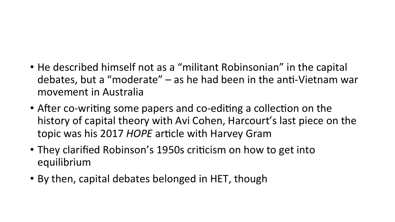- He described himself not as a "militant Robinsonian" in the capital debates, but a "moderate"  $-$  as he had been in the anti-Vietnam war movement in Australia
- After co-writing some papers and co-editing a collection on the history of capital theory with Avi Cohen, Harcourt's last piece on the topic was his 2017 *HOPE* article with Harvey Gram
- They clarified Robinson's 1950s criticism on how to get into equilibrium
- By then, capital debates belonged in HET, though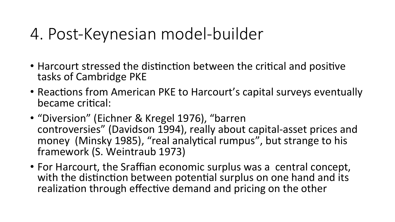### 4. Post-Keynesian model-builder

- Harcourt stressed the distinction between the critical and positive tasks of Cambridge PKE
- Reactions from American PKE to Harcourt's capital surveys eventually became critical:
- "Diversion" (Eichner & Kregel 1976), "barren controversies" (Davidson 1994), really about capital-asset prices and money (Minsky 1985), "real analytical rumpus", but strange to his framework (S. Weintraub 1973)
- For Harcourt, the Sraffian economic surplus was a central concept, with the distinction between potential surplus on one hand and its realization through effective demand and pricing on the other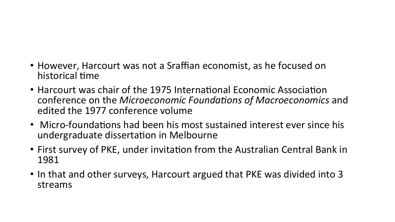#### • However, Harcourt was not a Sraffian economist, as he focused on historical time

- Harcourt was chair of the 1975 International Economic Association conference on the *Microeconomic Foundations of Macroeconomics* and edited the 1977 conference volume
- Micro-foundations had been his most sustained interest ever since his undergraduate dissertation in Melbourne
- First survey of PKE, under invitation from the Australian Central Bank in 1981
- In that and other surveys, Harcourt argued that PKE was divided into 3 streams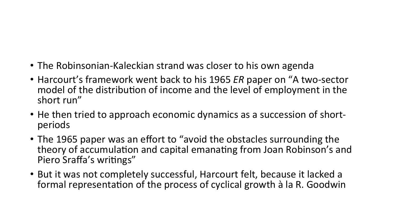### • The Robinsonian-Kaleckian strand was closer to his own agenda

- Harcourt's framework went back to his 1965 *ER* paper on "A two-sector model of the distribution of income and the level of employment in the short run"
- He then tried to approach economic dynamics as a succession of shortperiods
- The 1965 paper was an effort to "avoid the obstacles surrounding the theory of accumulation and capital emanating from Joan Robinson's and Piero Sraffa's writings"
- But it was not completely successful, Harcourt felt, because it lacked a formal representation of the process of cyclical growth à la R. Goodwin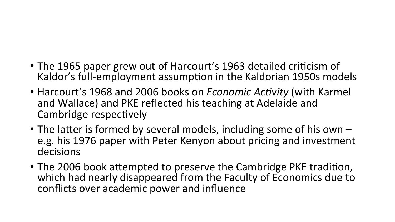- The 1965 paper grew out of Harcourt's 1963 detailed criticism of Kaldor's full-employment assumption in the Kaldorian 1950s models
- Harcourt's 1968 and 2006 books on *Economic Activity* (with Karmel and Wallace) and PKE reflected his teaching at Adelaide and Cambridge respectively
- The latter is formed by several models, including some of his own  $$ e.g. his 1976 paper with Peter Kenyon about pricing and investment decisions
- The 2006 book attempted to preserve the Cambridge PKE tradition, which had nearly disappeared from the Faculty of Economics due to conflicts over academic power and influence